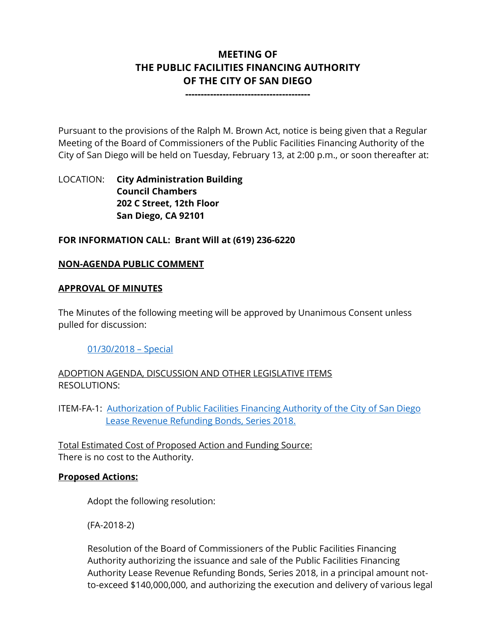# **MEETING OF THE PUBLIC FACILITIES FINANCING AUTHORITY OF THE CITY OF SAN DIEGO**

**----------------------------------------**

Pursuant to the provisions of the Ralph M. Brown Act, notice is being given that a Regular Meeting of the Board of Commissioners of the Public Facilities Financing Authority of the City of San Diego will be held on Tuesday, February 13, at 2:00 p.m., or soon thereafter at:

## LOCATION: **City Administration Building Council Chambers 202 C Street, 12th Floor San Diego, CA 92101**

## **FOR INFORMATION CALL: Brant Will at (619) 236-6220**

## **NON-AGENDA PUBLIC COMMENT**

#### **APPROVAL OF MINUTES**

The Minutes of the following meeting will be approved by Unanimous Consent unless pulled for discussion:

#### [01/30/2018](http://www.sandiego.gov/sites/default/files/1-30-18_minutes.pdf) – Special

ADOPTION AGENDA, DISCUSSION AND OTHER LEGISLATIVE ITEMS RESOLUTIONS:

ITEM-FA-1: Authorization of Public Facilities Financing Authority of the City of San Diego [Lease Revenue Refunding Bonds, Series 2018.](http://www.sandiego.gov/sites/default/files/1-30-18_pffa_attachments.pdf)

Total Estimated Cost of Proposed Action and Funding Source: There is no cost to the Authority.

#### **Proposed Actions:**

Adopt the following resolution:

(FA-2018-2)

Resolution of the Board of Commissioners of the Public Facilities Financing Authority authorizing the issuance and sale of the Public Facilities Financing Authority Lease Revenue Refunding Bonds, Series 2018, in a principal amount notto-exceed \$140,000,000, and authorizing the execution and delivery of various legal